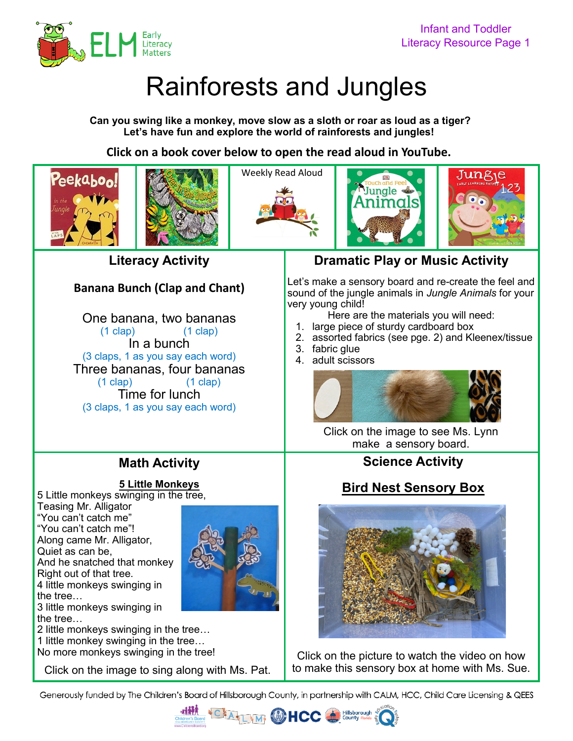

# Rainforests and Jungles

**Can you swing like a monkey, move slow as a sloth or roar as loud as a tiger? Let's have fun and explore the world of rainforests and jungles!**

**Click on a book cover below to open the read aloud in YouTube.** 



**Literacy Activity**

## **Banana Bunch (Clap and Chant)**

One banana, two bananas (1 clap) (1 clap) In a bunch (3 claps, 1 as you say each word) Three bananas, four bananas (1 clap) (1 clap) Time for lunch (3 claps, 1 as you say each word)

# **Math Activity**

**[5 Little Monkeys](https://youtu.be/F0EN_x0jbzY)**

5 Little monkeys swinging in the tree,

Teasing Mr. Alligator "You can't catch me" "You can't catch me"! Along came Mr. Alligator, Quiet as can be, And he snatched that monkey Right out of that tree. 4 little monkeys swinging in the tree…



3 little monkeys swinging in the tree…

2 little monkeys swinging in the tree…

1 little monkey swinging in the tree…

No more monkeys swinging in the tree!

# **Dramatic Play or Music Activity**

Let's make a sensory board and re-create the feel and sound of the jungle animals in *Jungle Animals* for your very young child!

- Here are the materials you will need:
- 1. large piece of sturdy cardboard box
- 2. assorted fabrics (see pge. 2) and Kleenex/tissue
- 3. fabric glue
- 4. adult scissors



[Click on the image to see Ms. Lynn](https://youtu.be/f8MTBanzSHA)  make a sensory board.

## **Science Activity**

# **[Bird Nest](https://youtu.be/IbcNoi5u874) Sensory Box**



Click on the picture to watch the video on how [Click on](https://youtu.be/F0EN_x0jbzY) [the image to sing along with Ms. Pat.](https://youtu.be/F0EN_x0jbzY)  $\parallel$  to make this sensory box at home with Ms. Sue.

Generously funded by The Children's Board of Hillsborough County, in partnership with CALM, HCC, Child Care Licensing & QEES

**ALLAM GOHCC**